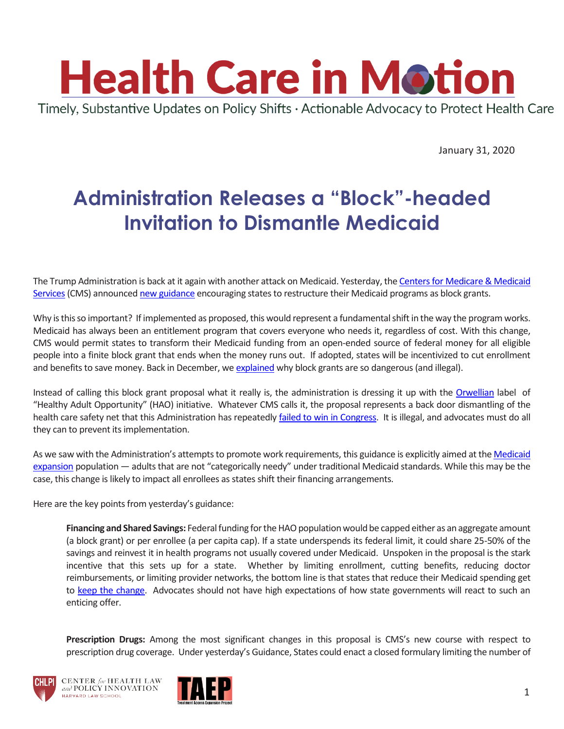

January 31, 2020

## **Administration Releases a "Block"-headed Invitation to Dismantle Medicaid**

The Trump Administration is back at it again with another attack on Medicaid. Yesterday, the [Centers for Medicare & Medicaid](https://www.cms.gov/)  Services (CMS) announced [new guidance](https://urldefense.proofpoint.com/v2/url?u=https-3A__lnks.gd_l_eyJhbGciOiJIUzI1NiJ9.eyJidWxsZXRpbl9saW5rX2lkIjoxMDIsInVyaSI6ImJwMjpjbGljayIsImJ1bGxldGluX2lkIjoiMjAyMDAxMzAuMTYzMzkwMzEiLCJ1cmwiOiJodHRwczovL3d3dy5tZWRpY2FpZC5nb3Yvc2l0ZXMvZGVmYXVsdC9maWxlcy9GZWRlcmFsLVBvbGljeS1HdWlkYW5jZS9Eb3dubG9hZHMvc21kMjAwMDEucGRmIn0.AM7wsFYgIDdknGMnqmxko08szV7-5FOIuYCIZGs8yOo-5Fc_br_74508560158-2Dl&d=DwMFaQ&c=WO-RGvefibhHBZq3fL85hQ&r=ZNKpu61H5UByUZeRGnqM-5pSWhUBNkxCxGQrBW0v6J8&m=LNHWuUJephKIOlwuLpike3OE6b1o8dbCN6Rse-p5vgY&s=gYfaMKdRxbF69nOg0kH6qoXdq_VFwKdvz989gPcBPmk&e=) encouraging states to restructure their Medicaid programs as block grants.

Why is this so important? If implemented as proposed, this would represent a fundamental shift in the way the program works. Medicaid has always been an entitlement program that covers everyone who needs it, regardless of cost. With this change, CMS would permit states to transform their Medicaid funding from an open-ended source of federal money for all eligible people into a finite block grant that ends when the money runs out. If adopted, states will be incentivized to cut enrollment and benefits to save money. Back in December, w[e explained](https://www.chlpi.org/wp-content/uploads/2013/12/HCIM_12_19_19.pdf) why block grants are so dangerous (and illegal).

Instead of calling this block grant proposal what it really is, the administration is dressing it up with the [Orwellian](https://www.orwell.ru/library/essays/politics/english/e_polit) label of "Healthy Adult Opportunity" (HAO) initiative. Whatever CMS calls it, the proposal represents a back door dismantling of the health care safety net that this Administration has repeatedly [failed to win in Congress.](https://www.youtube.com/watch?v=DWeayFHsH90) It is illegal, and advocates must do all they can to prevent its implementation.

As we saw with the Administration's attempts to promote work requirements, this guidance is explicitly aimed at the Medicaid [expansion](https://www.healthcare.gov/medicaid-chip/medicaid-expansion-and-you/) population — adults that are not "categorically needy" under traditional Medicaid standards. While this may be the case, this change is likely to impact all enrollees as states shift their financing arrangements.

Here are the key points from yesterday's guidance:

**Financing and Shared Savings:** Federal funding for the HAO population would be capped either as an aggregate amount (a block grant) or per enrollee (a per capita cap). If a state underspends its federal limit, it could share 25-50% of the savings and reinvest it in health programs not usually covered under Medicaid. Unspoken in the proposal is the stark incentive that this sets up for a state. Whether by limiting enrollment, cutting benefits, reducing doctor reimbursements, or limiting provider networks, the bottom line is that states that reduce their Medicaid spending get to [keep the change.](https://www.youtube.com/watch?v=-nHNHIDduH4&t=0m30s) Advocates should not have high expectations of how state governments will react to such an enticing offer.

**Prescription Drugs:** Among the most significant changes in this proposal is CMS's new course with respect to prescription drug coverage. Under yesterday's Guidance, States could enact a closed formulary limiting the number of